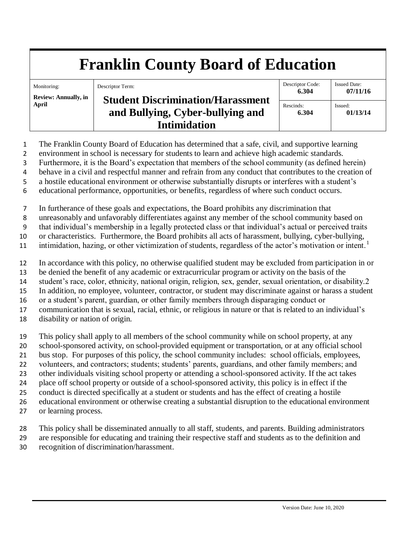# **Franklin County Board of Education**

Monitoring: **Review: Annually, in April** Descriptor Term: **Student Discrimination/Harassment and Bullying, Cyber-bullying and Intimidation** Descriptor Code: **6.304** Issued Date: **07/11/16** Rescinds: **6.304** Issued: **01/13/14**

- The Franklin County Board of Education has determined that a safe, civil, and supportive learning
- environment in school is necessary for students to learn and achieve high academic standards.
- Furthermore, it is the Board's expectation that members of the school community (as defined herein)
- behave in a civil and respectful manner and refrain from any conduct that contributes to the creation of
- a hostile educational environment or otherwise substantially disrupts or interferes with a student's
- educational performance, opportunities, or benefits, regardless of where such conduct occurs.
- In furtherance of these goals and expectations, the Board prohibits any discrimination that
- unreasonably and unfavorably differentiates against any member of the school community based on
- that individual's membership in a legally protected class or that individual's actual or perceived traits
- or characteristics. Furthermore, the Board prohibits all acts of harassment, bullying, cyber-bullying,
- intimidation, hazing, or other victimization of students, regardless of the actor's motivation or intent.<sup>1</sup>
- In accordance with this policy, no otherwise qualified student may be excluded from participation in or
- be denied the benefit of any academic or extracurricular program or activity on the basis of the
- student's race, color, ethnicity, national origin, religion, sex, gender, sexual orientation, or disability.2
- In addition, no employee, volunteer, contractor, or student may discriminate against or harass a student
- or a student's parent, guardian, or other family members through disparaging conduct or
- communication that is sexual, racial, ethnic, or religious in nature or that is related to an individual's
- disability or nation of origin.
- This policy shall apply to all members of the school community while on school property, at any school-sponsored activity, on school-provided equipment or transportation, or at any official school bus stop. For purposes of this policy, the school community includes: school officials, employees, volunteers, and contractors; students; students' parents, guardians, and other family members; and other individuals visiting school property or attending a school-sponsored activity. If the act takes place off school property or outside of a school-sponsored activity, this policy is in effect if the conduct is directed specifically at a student or students and has the effect of creating a hostile educational environment or otherwise creating a substantial disruption to the educational environment
- or learning process.
- This policy shall be disseminated annually to all staff, students, and parents. Building administrators
- are responsible for educating and training their respective staff and students as to the definition and
- recognition of discrimination/harassment.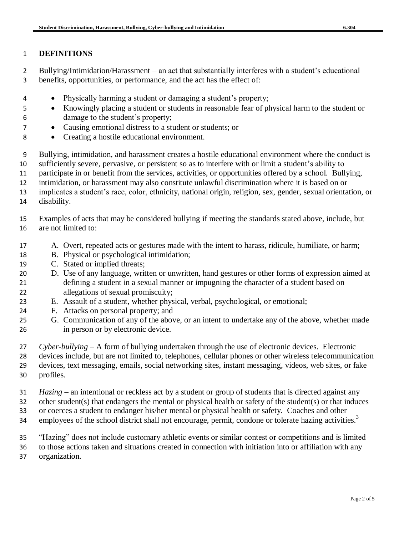#### **DEFINITIONS**

 Bullying/Intimidation/Harassment – an act that substantially interferes with a student's educational benefits, opportunities, or performance, and the act has the effect of:

- Physically harming a student or damaging a student's property;
- Knowingly placing a student or students in reasonable fear of physical harm to the student or damage to the student's property;
- Causing emotional distress to a student or students; or
- Creating a hostile educational environment.
- Bullying, intimidation, and harassment creates a hostile educational environment where the conduct is
- sufficiently severe, pervasive, or persistent so as to interfere with or limit a student's ability to

participate in or benefit from the services, activities, or opportunities offered by a school. Bullying,

intimidation, or harassment may also constitute unlawful discrimination where it is based on or

 implicates a student's race, color, ethnicity, national origin, religion, sex, gender, sexual orientation, or disability.

- Examples of acts that may be considered bullying if meeting the standards stated above, include, but are not limited to:
- A. Overt, repeated acts or gestures made with the intent to harass, ridicule, humiliate, or harm;
- B. Physical or psychological intimidation;
- C. Stated or implied threats;
- D. Use of any language, written or unwritten, hand gestures or other forms of expression aimed at defining a student in a sexual manner or impugning the character of a student based on allegations of sexual promiscuity;
- E. Assault of a student, whether physical, verbal, psychological, or emotional;
- F. Attacks on personal property; and
- G. Communication of any of the above, or an intent to undertake any of the above, whether made in person or by electronic device.
- *Cyber-bullying*  A form of bullying undertaken through the use of electronic devices. Electronic

devices include, but are not limited to, telephones, cellular phones or other wireless telecommunication

 devices, text messaging, emails, social networking sites, instant messaging, videos, web sites, or fake profiles.

*Hazing* – an intentional or reckless act by a student or group of students that is directed against any

other student(s) that endangers the mental or physical health or safety of the student(s) or that induces

or coerces a student to endanger his/her mental or physical health or safety. Coaches and other

- employees of the school district shall not encourage, permit, condone or tolerate hazing activities.<sup>3</sup>
- "Hazing" does not include customary athletic events or similar contest or competitions and is limited

to those actions taken and situations created in connection with initiation into or affiliation with any

organization.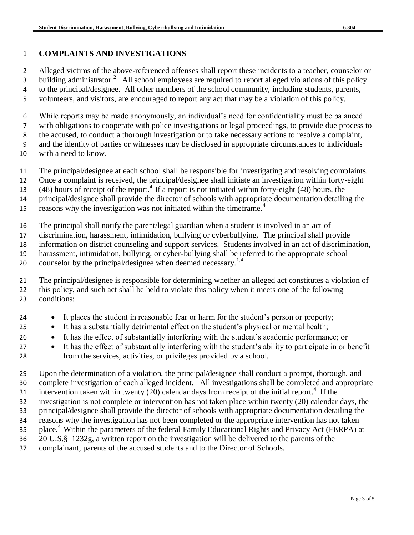### **COMPLAINTS AND INVESTIGATIONS**

 Alleged victims of the above-referenced offenses shall report these incidents to a teacher, counselor or 3 building administrator.<sup>2</sup> All school employees are required to report alleged violations of this policy

to the principal/designee. All other members of the school community, including students, parents,

volunteers, and visitors, are encouraged to report any act that may be a violation of this policy.

While reports may be made anonymously, an individual's need for confidentiality must be balanced

with obligations to cooperate with police investigations or legal proceedings, to provide due process to

the accused, to conduct a thorough investigation or to take necessary actions to resolve a complaint,

 and the identity of parties or witnesses may be disclosed in appropriate circumstances to individuals with a need to know.

- 
- The principal/designee at each school shall be responsible for investigating and resolving complaints.
- Once a complaint is received, the principal/designee shall initiate an investigation within forty-eight
- (48) hours of receipt of the report.<sup>4</sup> If a report is not initiated within forty-eight (48) hours, the
- principal/designee shall provide the director of schools with appropriate documentation detailing the

reasons why the investigation was not initiated within the timeframe.<sup>4</sup> 

The principal shall notify the parent/legal guardian when a student is involved in an act of

discrimination, harassment, intimidation, bullying or cyberbullying. The principal shall provide

information on district counseling and support services. Students involved in an act of discrimination,

harassment, intimidation, bullying, or cyber-bullying shall be referred to the appropriate school

20 counselor by the principal/designee when deemed necessary.<sup>1,4</sup>

 The principal/designee is responsible for determining whether an alleged act constitutes a violation of this policy, and such act shall be held to violate this policy when it meets one of the following conditions:

- 24 It places the student in reasonable fear or harm for the student's person or property;
- 25 It has a substantially detrimental effect on the student's physical or mental health;
- It has the effect of substantially interfering with the student's academic performance; or
- 27 It has the effect of substantially interfering with the student's ability to participate in or benefit from the services, activities, or privileges provided by a school.

 Upon the determination of a violation, the principal/designee shall conduct a prompt, thorough, and complete investigation of each alleged incident. All investigations shall be completed and appropriate 31 intervention taken within twenty (20) calendar days from receipt of the initial report.<sup>4</sup> If the investigation is not complete or intervention has not taken place within twenty (20) calendar days, the principal/designee shall provide the director of schools with appropriate documentation detailing the reasons why the investigation has not been completed or the appropriate intervention has not taken place.<sup>4</sup> Within the parameters of the federal Family Educational Rights and Privacy Act (FERPA) at

- 20 U.S.§ 1232g, a written report on the investigation will be delivered to the parents of the
- complainant, parents of the accused students and to the Director of Schools.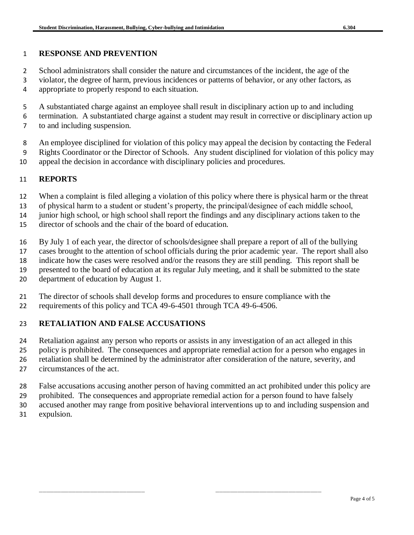#### **RESPONSE AND PREVENTION**

School administrators shall consider the nature and circumstances of the incident, the age of the

- violator, the degree of harm, previous incidences or patterns of behavior, or any other factors, as appropriate to properly respond to each situation.
- A substantiated charge against an employee shall result in disciplinary action up to and including
- termination. A substantiated charge against a student may result in corrective or disciplinary action up
- to and including suspension.
- An employee disciplined for violation of this policy may appeal the decision by contacting the Federal
- Rights Coordinator or the Director of Schools. Any student disciplined for violation of this policy may
- appeal the decision in accordance with disciplinary policies and procedures.

## **REPORTS**

- When a complaint is filed alleging a violation of this policy where there is physical harm or the threat
- of physical harm to a student or student's property, the principal/designee of each middle school,

junior high school, or high school shall report the findings and any disciplinary actions taken to the

- director of schools and the chair of the board of education.
- By July 1 of each year, the director of schools/designee shall prepare a report of all of the bullying
- cases brought to the attention of school officials during the prior academic year. The report shall also
- indicate how the cases were resolved and/or the reasons they are still pending. This report shall be
- presented to the board of education at its regular July meeting, and it shall be submitted to the state
- department of education by August 1.
- The director of schools shall develop forms and procedures to ensure compliance with the
- requirements of this policy and TCA 49-6-4501 through TCA 49-6-4506.

### **RETALIATION AND FALSE ACCUSATIONS**

- Retaliation against any person who reports or assists in any investigation of an act alleged in this policy is prohibited. The consequences and appropriate remedial action for a person who engages in retaliation shall be determined by the administrator after consideration of the nature, severity, and
- circumstances of the act.
- False accusations accusing another person of having committed an act prohibited under this policy are
- prohibited. The consequences and appropriate remedial action for a person found to have falsely
- accused another may range from positive behavioral interventions up to and including suspension and
- expulsion.